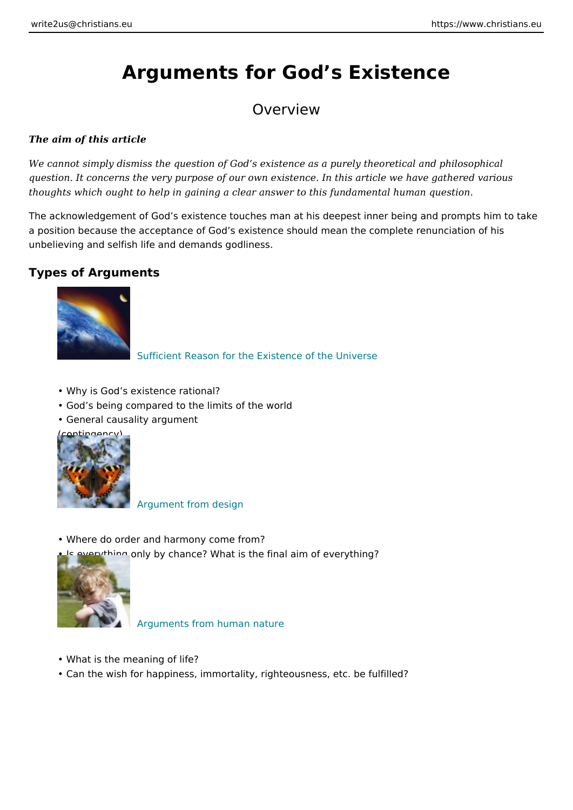# Arguments for God s Existence

# Overview

The aim of this article

We cannot simply dismiss the question of God s existence as a purely theoretical question. It concerns the very purpose of our own existence. In this article we h thoughts which ought to help in gaining a clear answer to this fundamental huma

The acknowledgement of God s existence touches man at his deepest inner being a position because the acceptance of God s existence should mean the complete unbelieving and selfish life and demands godliness.

Types of Arguments

# [Sufficient Reason for the Existence](https://www.christians.eu/sufficient-reason/) of the Universe

- " Why is God s existence rational?
- " God s being compared to the limits of the world
- " General causality argument
- (contingency)

#### [Argument from d](https://www.christians.eu/argument-from-design/)esign

- " Where do order and harmony come from?
- " Is everything only by chance? What is the final aim of everything?

#### [Arguments from human](https://www.christians.eu/arguments-from-human-nature/) nature

- " What is the meaning of life?
- " Can the wish for happiness, immortality, righteousness, etc. be fulfilled?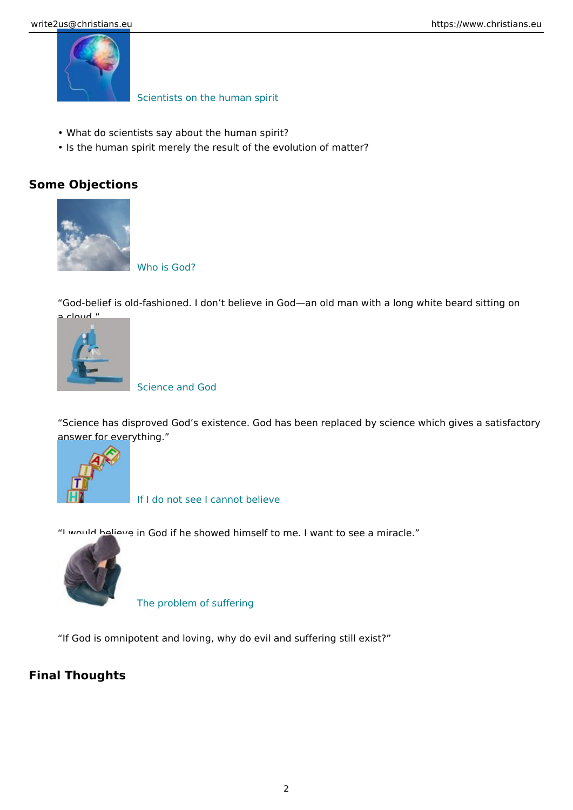# [Scientists on the hum](https://www.christians.eu/scientists/)an spirit

- " What do scientists say about the human spirit?
- " Is the human spirit merely the result of the evolution of matter?

Some Objections

### [Who is G](https://www.christians.eu/who-is-god/)od?

God-belief is old-fashioned. I don t believe in God an old man with a long v a cloud.

# [Science and](https://www.christians.eu/science-and-god/) God

Science has disproved God s existence. God has been replaced by science answer for everything.

### [If I do not see I cann](https://www.christians.eu/believe/)ot believe

 [I would believe in God if he](https://www.christians.eu/problem-of-suffering/) showed himself to me. I want to see a miracle.

#### The problem of suffering

If God is omnipotent and loving, why do evil and suffering still exist?

Final Thoughts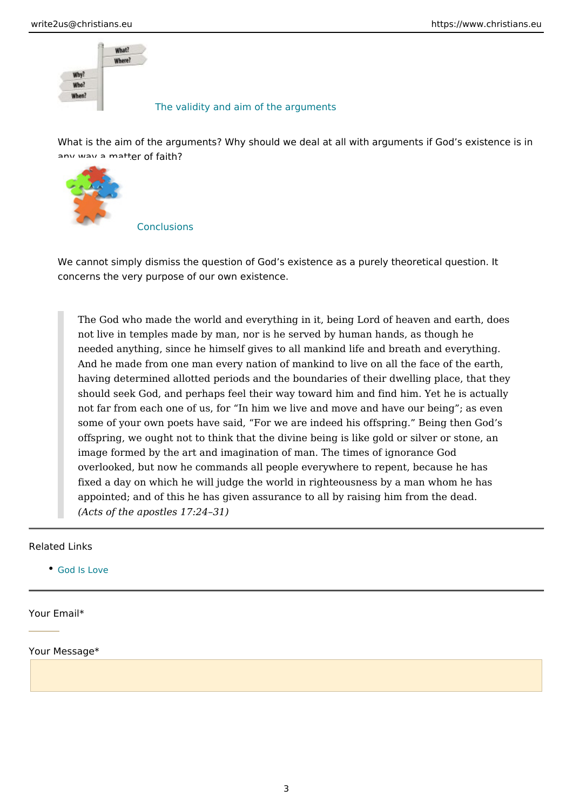#### [The validity and aim of the](https://www.christians.eu/validity-and-aim/) arguments

What is the aim of the arguments? Why should we deal at all with arguments [any way a matter of](https://www.christians.eu/conclusions/) faith?

# Conclusions

We cannot simply dismiss the question of God s existence as a purely theore concerns the very purpose of our own existence.

The God who made the world and everything in it, being Lord of heaven not live in temples made by man, nor is he served by human hands, as though here is not in the mands. needed anything, since he himself gives to all mankind life and breath and And he made from one man every nation of mankind to live on all the fa having determined allotted periods and the boundaries of their dwelling should seek God, and perhaps feel their way toward him and find him. Y not far from each one of us, for In him we live and move and have our some of your own poets have said, For we are indeed his offspring. Be offspring, we ought not to think that the divine being is like gold or silv image formed by the art and imagination of man. The times of ignorance overlooked, but now he commands all people everywhere to repent, becated and he has a handwide he has had a ha fixed a day on which he will judge the world in righteousness by a man appointed; and of this he has given assurance to all by raising him from (Acts of the apostles 17:24 31)

#### Related Links

[God Is L](https://www.christians.eu/god-is-love/)ove

Your Email\*

Your Message\*